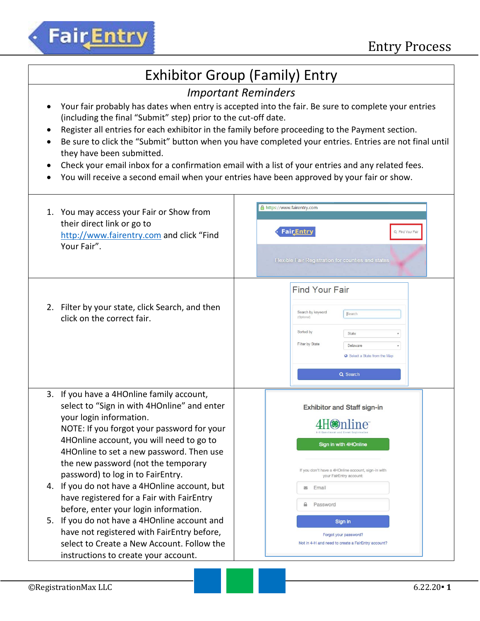

### Exhibitor Group (Family) Entry

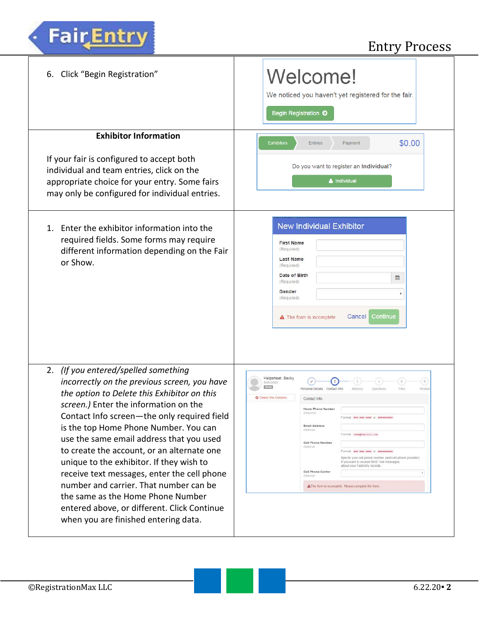| 6. Click "Begin Registration"                                                                                                                                                             | Welcome!<br>We noticed you haven't yet registered for the fair.<br>Begin Registration O                                                                                                                            |
|-------------------------------------------------------------------------------------------------------------------------------------------------------------------------------------------|--------------------------------------------------------------------------------------------------------------------------------------------------------------------------------------------------------------------|
| <b>Exhibitor Information</b>                                                                                                                                                              | \$0.00<br><b>Exhibitors</b><br><b>Entries</b><br>Payment                                                                                                                                                           |
| If your fair is configured to accept both<br>individual and team entries, click on the<br>appropriate choice for your entry. Some fairs<br>may only be configured for individual entries. | Do you want to register an Individual?<br>& Individual                                                                                                                                                             |
| 1. Enter the exhibitor information into the<br>required fields. Some forms may require<br>different information depending on the Fair<br>or Show.                                         | <b>New Individual Exhibitor</b><br><b>First Name</b><br>(Required)<br><b>Last Name</b><br>(Required)<br>Date of Birth<br>曲<br>(Required)<br>Gender<br>(Required)<br>Continue<br>Cancel<br>A The form is incomplete |
| 2. (If you entered/spelled something<br>incorrectly on the previous screen, you have                                                                                                      | Helpsheet, Becky<br>6.<br>8/05/2000                                                                                                                                                                                |
| the option to Delete this Exhibitor on this                                                                                                                                               | Contact Info<br>Flies<br>Review<br>Personal Details<br>Questions<br>Address<br><b>O</b> Delete this Exhibitor<br>Contact Info                                                                                      |
| screen.) Enter the information on the<br>Contact Info screen-the only required field                                                                                                      | Home Phone Number<br>(Required)<br>Format wee-ene-enee or seconsyster                                                                                                                                              |
| is the top Home Phone Number. You can                                                                                                                                                     | <b>Email Address</b><br>(Optional)<br>Format name@website.com                                                                                                                                                      |
| use the same email address that you used                                                                                                                                                  | Cell Phone Number<br>(Optional)                                                                                                                                                                                    |
| to create the account, or an alternate one<br>unique to the exhibitor. If they wish to                                                                                                    | Formal ass-see-sees or assessess<br>Specify your cell phone number (and cell phone provider)<br>if you want to receive SMS Text messages<br>about your FairEntry records.                                          |
| receive text messages, enter the cell phone                                                                                                                                               | Cell Phone Carrier<br>(Optional)                                                                                                                                                                                   |
| number and carrier. That number can be<br>the same as the Home Phone Number                                                                                                               | A The form is incomplete. Please complete the form.                                                                                                                                                                |
| entered above, or different. Click Continue<br>when you are finished entering data.                                                                                                       |                                                                                                                                                                                                                    |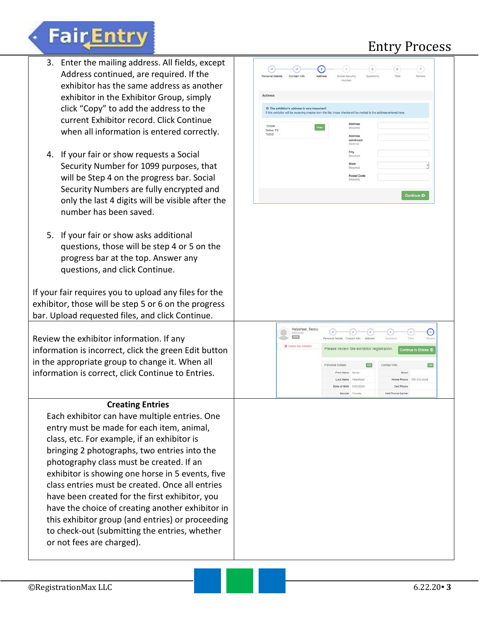

**FairEntry** 

If your fair requires you to upload any files for the exhibitor, those will be step 5 or 6 on the progress bar. Upload requested files, and click Continue.

Review the exhibitor information. If any information is incorrect, click the green Edit button in the appropriate group to change it. When all information is correct, click Continue to Entries.

#### **Creating Entries**

Each exhibitor can have multiple entries. One entry must be made for each item, animal, class, etc. For example, if an exhibitor is bringing 2 photographs, two entries into the photography class must be created. If an exhibitor is showing one horse in 5 events, five class entries must be created. Once all entries have been created for the first exhibitor, you have the choice of creating another exhibitor in this exhibitor group (and entries) or proceeding to check-out (submitting the entries, whether or not fees are charged).

| Personal Details    | Contact Info                                                                                                                                                       | Address | Social Security<br>Number                      |                                  | Questions    | Files           |                   | Raviaw                  |                                    |
|---------------------|--------------------------------------------------------------------------------------------------------------------------------------------------------------------|---------|------------------------------------------------|----------------------------------|--------------|-----------------|-------------------|-------------------------|------------------------------------|
| Address             |                                                                                                                                                                    |         |                                                |                                  |              |                 |                   |                         |                                    |
|                     | O The exhibitor's address is very important!<br>If this exhibitor will be receiving checks from the fair, those checks will be mailed to the address entered here. |         |                                                |                                  |              |                 |                   |                         |                                    |
| 123456              |                                                                                                                                                                    |         |                                                | Address                          |              |                 |                   |                         |                                    |
| Dallas, TX<br>75252 |                                                                                                                                                                    | Copy    |                                                | (Required)<br>Address            |              |                 |                   |                         |                                    |
|                     |                                                                                                                                                                    |         |                                                | continued<br>(Optional)          |              |                 |                   |                         |                                    |
|                     |                                                                                                                                                                    |         |                                                | City                             |              |                 |                   |                         |                                    |
|                     |                                                                                                                                                                    |         |                                                | (Required)<br>State              |              |                 |                   |                         |                                    |
|                     |                                                                                                                                                                    |         |                                                | (Required)                       |              |                 |                   | ,                       |                                    |
|                     |                                                                                                                                                                    |         |                                                | <b>Postal Code</b><br>(Required) |              |                 |                   |                         |                                    |
|                     |                                                                                                                                                                    |         |                                                |                                  |              |                 |                   |                         |                                    |
|                     |                                                                                                                                                                    |         |                                                |                                  |              |                 |                   | Continue O              |                                    |
|                     |                                                                                                                                                                    |         |                                                |                                  |              |                 |                   |                         |                                    |
|                     | Helpsheet, Becky<br>8/05/2000<br><b>COLOR</b>                                                                                                                      |         | $(\cdot)$<br>Personal Details Contact Info     | $(\cdot)$                        | €<br>Address | (v<br>Questions | $\omega$<br>Files |                         | $\lceil \epsilon \rceil$<br>Review |
|                     | O Detete this Exhibitor                                                                                                                                            |         | Please review the exhibitor registration.      |                                  |              |                 |                   | Continue to Entries O   |                                    |
|                     |                                                                                                                                                                    |         | Personal Details                               |                                  | Edit         | Contact Info    |                   |                         | Edit                               |
|                     |                                                                                                                                                                    |         | First Name Bocky                               |                                  |              |                 | Email             |                         |                                    |
|                     |                                                                                                                                                                    |         | Last Name Helpsheet<br>Date of Birth 8/05/2000 |                                  |              |                 | Cell Phone        | Home Phone 555-123-4444 |                                    |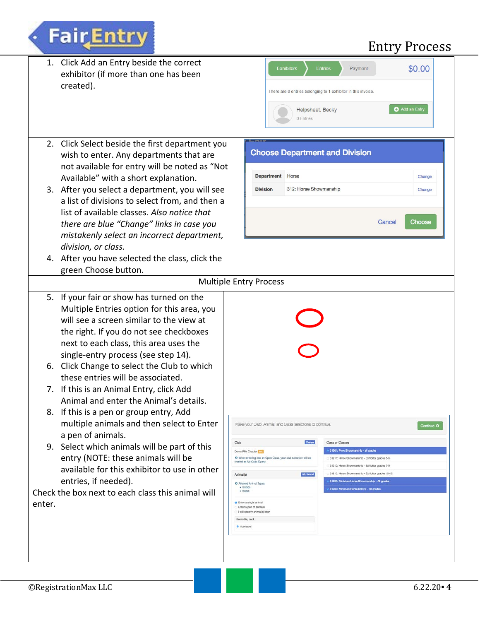

**FairEntry**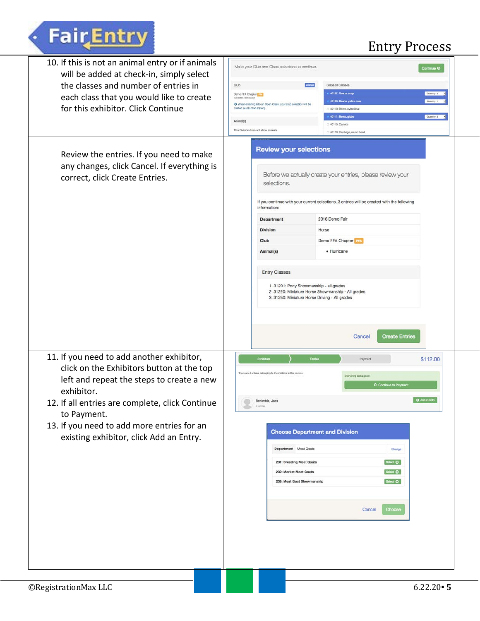# Fair Entry

# Entry Process

| 10. If this is not an animal entry or if animals<br>will be added at check-in, simply select<br>the classes and number of entries in<br>each class that you would like to create<br>for this exhibitor. Click Continue                                                                                       | Make your Club and Class selections to continue.<br>Club<br>Demo FFA Chapter<br>Selected Previously<br>O When entering into an Open Class, your club selection will be<br>treated as Alo Club (Open).<br>Animal(s)<br>This Division does not allow animals | Oungo<br>Class or Classes<br>40102: Beans, snsp<br>40103: Beans, yellow wax<br>2 40110: Beets, cylindrical<br>40111: Beets, globe<br>40116: Carrots<br>30120; Cabbege, round head                                                                                                                                                                                                                            | Continue O<br>Quantity, 3<br>Quantity: 1<br>Quentity: 3 |
|--------------------------------------------------------------------------------------------------------------------------------------------------------------------------------------------------------------------------------------------------------------------------------------------------------------|------------------------------------------------------------------------------------------------------------------------------------------------------------------------------------------------------------------------------------------------------------|--------------------------------------------------------------------------------------------------------------------------------------------------------------------------------------------------------------------------------------------------------------------------------------------------------------------------------------------------------------------------------------------------------------|---------------------------------------------------------|
| Review the entries. If you need to make<br>any changes, click Cancel. If everything is<br>correct, click Create Entries.                                                                                                                                                                                     | <b>Review your selections</b><br>selections.<br>information:<br>Department<br><b>Division</b><br>Club<br>Animal(s)<br><b>Entry Classes</b>                                                                                                                 | Before we actually create your entries, please review your<br>If you continue with your current selections, 3 entries will be created with the following<br>2016 Demo Fair<br>Horse<br>Demo FFA Chapter<br>· Hurricane<br>1. 31201: Pony Showmanship - all grades<br>2. 31220: Miniature Horse Showmanship - All grades<br>3. 31250: Miniature Horse Driving - All grades<br><b>Create Entries</b><br>Cancel |                                                         |
| 11. If you need to add another exhibitor,<br>click on the Exhibitors button at the top<br>left and repeat the steps to create a new<br>exhibitor.<br>12. If all entries are complete, click Continue<br>to Payment.<br>13. If you need to add more entries for an<br>existing exhibitor, click Add an Entry. | Exhibiton<br>There are 4 entries belonging to 2 exhibitors in this invoice.<br>Benimble, Jack<br>Department Meat Goats<br>231: Breeding Meat Goats<br>232: Market Meat Goats<br>239: Meat Goat Showmanship                                                 | Entries<br>Payment<br>Everything looks good!<br>O Continue to Payment<br><b>Choose Department and Division</b><br>Change<br>Select O<br>Select O<br>Select O<br>Cancel<br>Choose                                                                                                                                                                                                                             | \$112.00<br>O Add an Entry                              |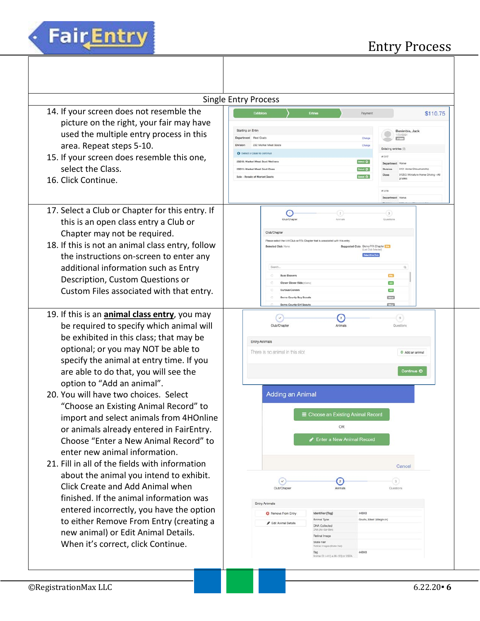

|                                                                                                                                                                                                                                                                                                                                                                                                                                                                                                                                                                                                                                                                                                                                                                                                                                                                                                           | <b>Single Entry Process</b>                                                                                                                                                                                                                                                                                                                                                                                                                                                                                                                                                                                                                                                                              |
|-----------------------------------------------------------------------------------------------------------------------------------------------------------------------------------------------------------------------------------------------------------------------------------------------------------------------------------------------------------------------------------------------------------------------------------------------------------------------------------------------------------------------------------------------------------------------------------------------------------------------------------------------------------------------------------------------------------------------------------------------------------------------------------------------------------------------------------------------------------------------------------------------------------|----------------------------------------------------------------------------------------------------------------------------------------------------------------------------------------------------------------------------------------------------------------------------------------------------------------------------------------------------------------------------------------------------------------------------------------------------------------------------------------------------------------------------------------------------------------------------------------------------------------------------------------------------------------------------------------------------------|
| 14. If your screen does not resemble the<br>picture on the right, your fair may have<br>used the multiple entry process in this<br>area. Repeat steps 5-10.<br>15. If your screen does resemble this one,<br>select the Class.<br>16. Click Continue.                                                                                                                                                                                                                                                                                                                                                                                                                                                                                                                                                                                                                                                     | Exhibitors<br>Entries<br>\$110.75<br>Payment<br>Starting an Entry<br>Benimble, Jack<br>1/01/000<br>Department Meat Goats<br>Change<br>232: Market Meat Goats<br>Chang<br>Existing entries (3)<br>Select a Class to continue<br>21317<br>23210: Market Meat Goat Wethers<br>Select O<br>nt Horse<br>Departm<br>23211: Market Meat Goat Does<br>Seat O<br>312: Horse Showmanship<br>31250: Miniature Horse Driving - All<br>Seed O<br>Sale - Regale of Market Goats<br>grades<br>#1316<br>Department Horse                                                                                                                                                                                                 |
| 17. Select a Club or Chapter for this entry. If<br>this is an open class entry a Club or<br>Chapter may not be required.<br>18. If this is not an animal class entry, follow<br>the instructions on-screen to enter any<br>additional information such as Entry<br>Description, Custom Questions or<br>Custom Files associated with that entry.                                                                                                                                                                                                                                                                                                                                                                                                                                                                                                                                                           | O<br>$\left( x\right)$<br>$2^+$<br>Club/Chapter<br>Animals<br>Questions<br>Club/Chapter<br>Please select the 4-H Club or FFA Chapter that is associated with this entry<br>Suggested Club: Demo FFA Chapter<br>Selected Club: Nans<br><b>B.ast Club Selected</b><br>Select this Olub<br>Search.<br>$\Omega$<br><b>Busy Beavers</b><br><b>City</b><br><b>AH</b><br>Clever Clover Kids (cleme<br>$\overline{a}$<br><b>Curious Carvers</b><br>Demo County Boy Scouts<br>CV <sub>3</sub><br>Demo County Girl Scouts<br><b>COL</b>                                                                                                                                                                            |
| 19. If this is an <i>animal class entry</i> , you may<br>be required to specify which animal will<br>be exhibited in this class; that may be<br>optional; or you may NOT be able to<br>specify the animal at entry time. If you<br>are able to do that, you will see the<br>option to "Add an animal".<br>20. You will have two choices. Select<br>"Choose an Existing Animal Record" to<br>import and select animals from 4HOnline<br>or animals already entered in FairEntry.<br>Choose "Enter a New Animal Record" to<br>enter new animal information.<br>21. Fill in all of the fields with information<br>about the animal you intend to exhibit.<br>Click Create and Add Animal when<br>finished. If the animal information was<br>entered incorrectly, you have the option<br>to either Remove From Entry (creating a<br>new animal) or Edit Animal Details.<br>When it's correct, click Continue. | $\bullet$<br>$\left(3\right)$<br>$\checkmark$<br>Club/Chapter<br>Arimals<br>Questions<br>Entry Animals<br>There is no animal in this slot<br>O Add an animal<br>Continue O<br>Adding an Animal<br><b>E</b> Choose an Existing Animal Record<br>OR<br>Enter a New Animal Record<br>Cancel<br>$\sqrt{3}$<br>$\circ$<br>$\ddot{\phantom{a}}$<br>Animals<br>Questions<br><b>Club/Chapter</b><br><b>Entry Animals</b><br><b>C</b> Flemove From Entry<br>Identifier (Tag)<br>44848<br>Goats, Meat (Weigh-in)<br>Animal Type<br>Gelt Animal Details<br><b>DNA Collected</b><br>DNA (Ali-Sar-Ben)<br>Retinal Image<br>State Fair<br>Rotinsi Images (State Fair)<br>44848<br>Animal ID: 4-H (i.e.06-123) or USDA. |